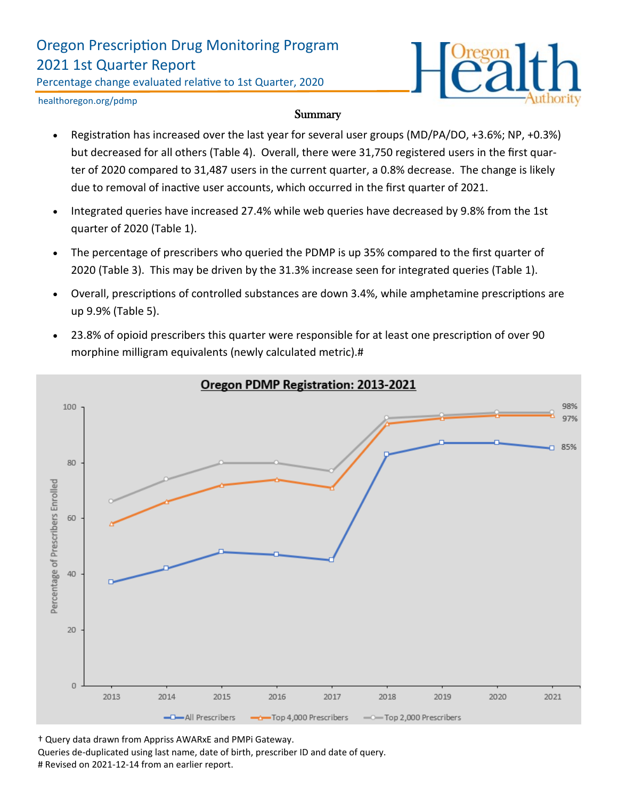## Oregon Prescription Drug Monitoring Program 2021 1st Quarter Report

Percentage change evaluated relative to 1st Quarter, 2020



healthoregon.org/pdmp

#### **Summary**

- Registration has increased over the last year for several user groups (MD/PA/DO, +3.6%; NP, +0.3%) but decreased for all others (Table 4). Overall, there were 31,750 registered users in the first quarter of 2020 compared to 31,487 users in the current quarter, a 0.8% decrease. The change is likely due to removal of inactive user accounts, which occurred in the first quarter of 2021.
- Integrated queries have increased 27.4% while web queries have decreased by 9.8% from the 1st quarter of 2020 (Table 1).
- The percentage of prescribers who queried the PDMP is up 35% compared to the first quarter of 2020 (Table 3). This may be driven by the 31.3% increase seen for integrated queries (Table 1).
- Overall, prescriptions of controlled substances are down 3.4%, while amphetamine prescriptions are up 9.9% (Table 5).
- 23.8% of opioid prescribers this quarter were responsible for at least one prescription of over 90 morphine milligram equivalents (newly calculated metric).#



Oregon PDMP Registration: 2013-2021

† Query data drawn from Appriss AWARxE and PMPi Gateway.

Queries de-duplicated using last name, date of birth, prescriber ID and date of query. # Revised on 2021-12-14 from an earlier report.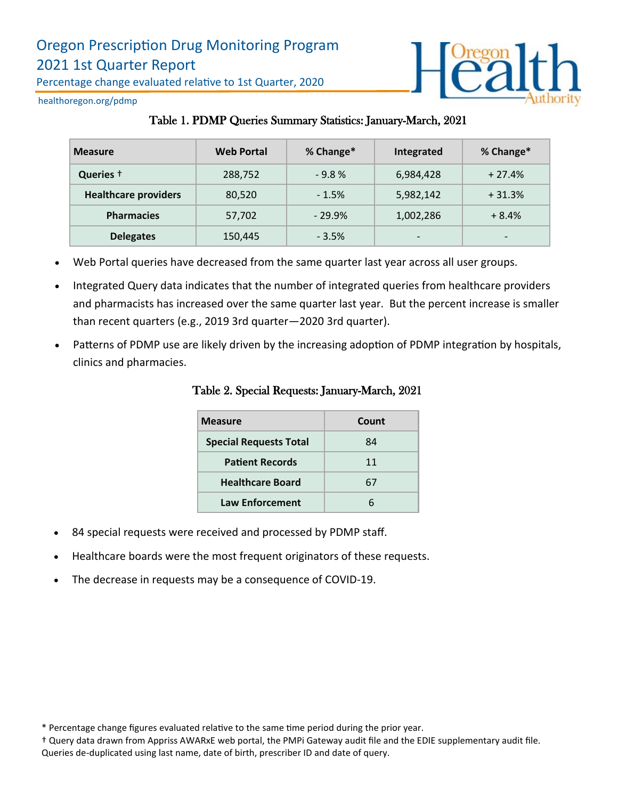

healthoregon.org/pdmp

### Table 1. PDMP Queries Summary Statistics: January-March, 2021

| <b>Measure</b>              | <b>Web Portal</b> | % Change* | Integrated               | % Change*                |
|-----------------------------|-------------------|-----------|--------------------------|--------------------------|
| Queries +                   | 288,752           | $-9.8%$   | 6,984,428                | $+27.4%$                 |
| <b>Healthcare providers</b> | 80,520            | $-1.5%$   | 5,982,142                | $+31.3%$                 |
| <b>Pharmacies</b>           | 57,702            | $-29.9%$  | 1,002,286                | $+8.4%$                  |
| <b>Delegates</b>            | 150,445           | $-3.5%$   | $\overline{\phantom{a}}$ | $\overline{\phantom{0}}$ |

- Web Portal queries have decreased from the same quarter last year across all user groups.
- Integrated Query data indicates that the number of integrated queries from healthcare providers and pharmacists has increased over the same quarter last year. But the percent increase is smaller than recent quarters (e.g., 2019 3rd quarter—2020 3rd quarter).
- Patterns of PDMP use are likely driven by the increasing adoption of PDMP integration by hospitals, clinics and pharmacies.

| <b>Measure</b>                | Count |
|-------------------------------|-------|
| <b>Special Requests Total</b> | 84    |
| <b>Patient Records</b>        | 11    |
| <b>Healthcare Board</b>       | 67    |
| <b>Law Enforcement</b>        |       |

Table 2. Special Requests: January-March, 2021

- 84 special requests were received and processed by PDMP staff.
- Healthcare boards were the most frequent originators of these requests.
- The decrease in requests may be a consequence of COVID-19.

† Query data drawn from Appriss AWARxE web portal, the PMPi Gateway audit file and the EDIE supplementary audit file. Queries de-duplicated using last name, date of birth, prescriber ID and date of query.

<sup>\*</sup> Percentage change figures evaluated relative to the same time period during the prior year.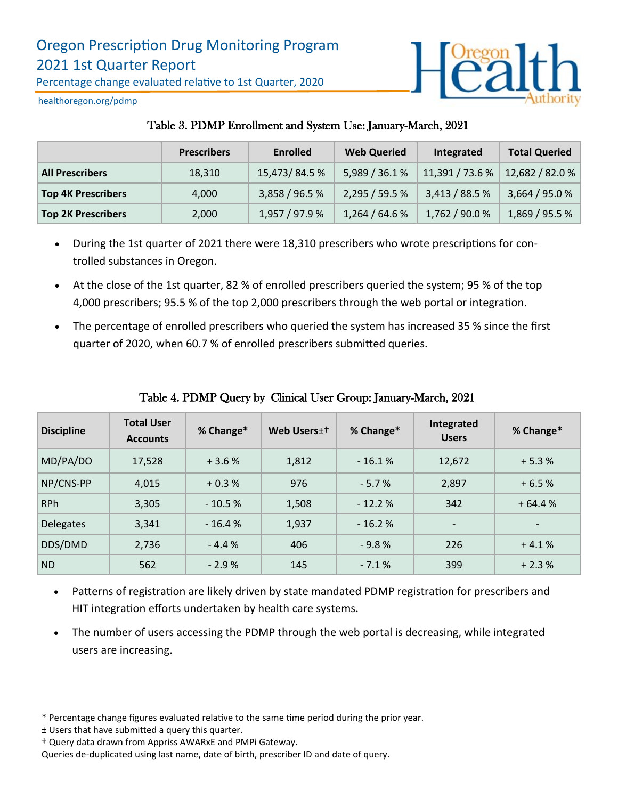

healthoregon.org/pdmp

## Table 3. PDMP Enrollment and System Use: January-March, 2021

|                           | <b>Prescribers</b> | <b>Enrolled</b> | <b>Web Queried</b> | Integrated      | <b>Total Queried</b> |
|---------------------------|--------------------|-----------------|--------------------|-----------------|----------------------|
| <b>All Prescribers</b>    | 18,310             | 15,473/84.5%    | 5,989 / 36.1 %     | 11,391 / 73.6 % | 12,682 / 82.0 %      |
| <b>Top 4K Prescribers</b> | 4,000              | 3,858 / 96.5 %  | 2,295/59.5%        | 3,413/88.5%     | 3,664 / 95.0 %       |
| <b>Top 2K Prescribers</b> | 2,000              | 1,957 / 97.9 %  | 1,264/64.6%        | 1,762 / 90.0 %  | 1,869 / 95.5 %       |

- During the 1st quarter of 2021 there were 18,310 prescribers who wrote prescriptions for controlled substances in Oregon.
- At the close of the 1st quarter, 82 % of enrolled prescribers queried the system; 95 % of the top 4,000 prescribers; 95.5 % of the top 2,000 prescribers through the web portal or integration.
- The percentage of enrolled prescribers who queried the system has increased 35 % since the first quarter of 2020, when 60.7 % of enrolled prescribers submitted queries.

| <b>Discipline</b> | <b>Total User</b><br><b>Accounts</b> | % Change* | Web Users <sup>++</sup> | % Change* | Integrated<br><b>Users</b> | % Change* |
|-------------------|--------------------------------------|-----------|-------------------------|-----------|----------------------------|-----------|
| MD/PA/DO          | 17,528                               | $+3.6%$   | 1,812                   | $-16.1%$  | 12,672                     | $+5.3%$   |
| NP/CNS-PP         | 4,015                                | $+0.3%$   | 976                     | $-5.7%$   | 2,897                      | $+6.5%$   |
| <b>RPh</b>        | 3,305                                | $-10.5%$  | 1,508                   | $-12.2%$  | 342                        | $+64.4%$  |
| <b>Delegates</b>  | 3,341                                | $-16.4%$  | 1,937                   | $-16.2%$  | $\overline{\phantom{a}}$   |           |
| DDS/DMD           | 2,736                                | $-4.4%$   | 406                     | $-9.8%$   | 226                        | $+4.1%$   |
| <b>ND</b>         | 562                                  | $-2.9%$   | 145                     | $-7.1%$   | 399                        | $+2.3%$   |

## Table 4. PDMP Query by Clinical User Group: January-March, 2021

- Patterns of registration are likely driven by state mandated PDMP registration for prescribers and HIT integration efforts undertaken by health care systems.
- The number of users accessing the PDMP through the web portal is decreasing, while integrated users are increasing.

<sup>\*</sup> Percentage change figures evaluated relative to the same time period during the prior year.

<sup>±</sup> Users that have submitted a query this quarter.

<sup>†</sup> Query data drawn from Appriss AWARxE and PMPi Gateway.

Queries de-duplicated using last name, date of birth, prescriber ID and date of query.